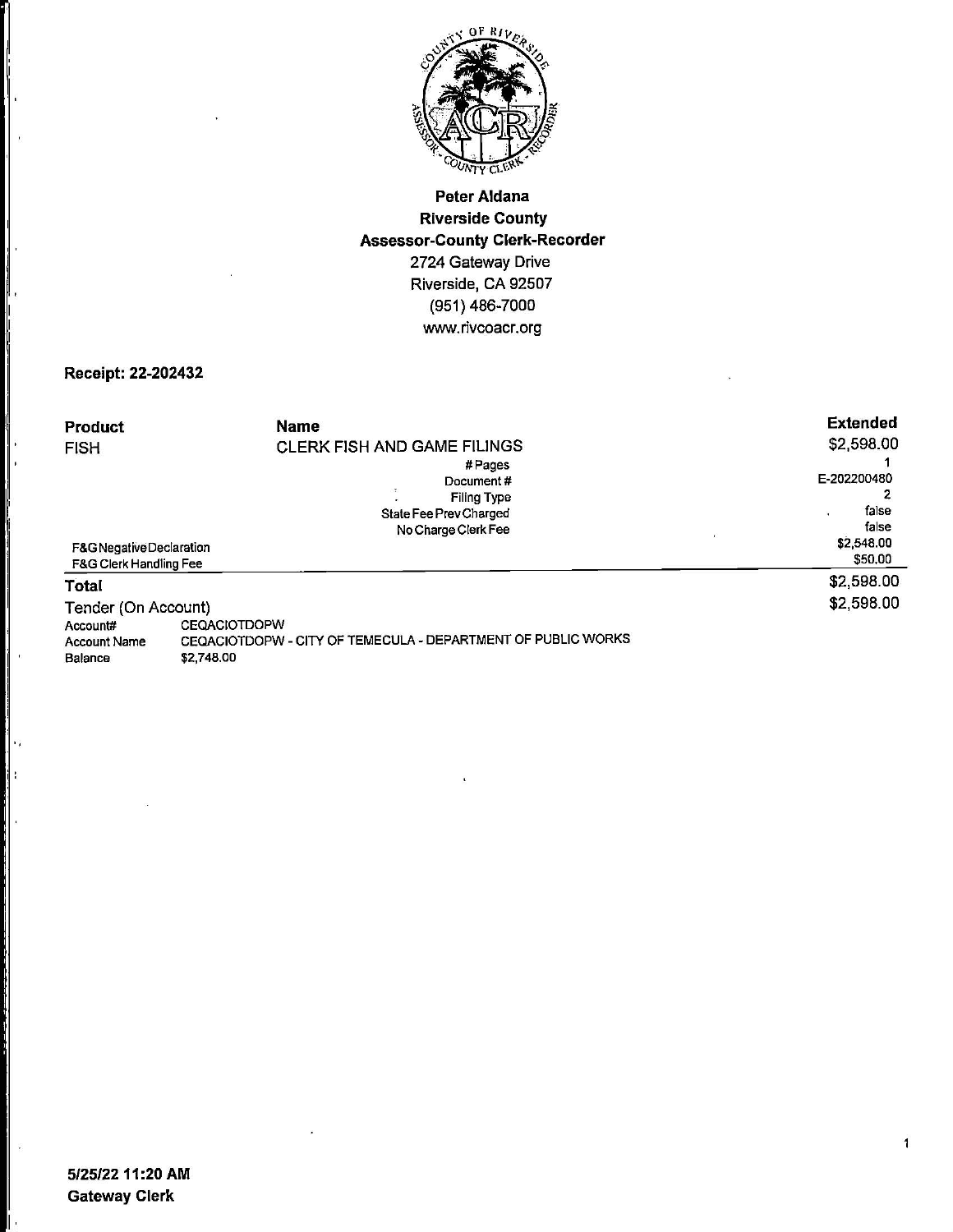

## **Peter Aldana Riverside County Assessor-County Clerk-Recorder**  2724 Gateway Drive Riverside, CA 92507 (951) 486-7000 www.rivcoacr.org

## **Receipt: 22-202432**

I i I.

ļ. ∥

ļ

ł.

 $\mathbf{I}^{\mathbf{r}}$ 

I:

I.

h.

l. e

| <b>Product</b><br><b>FISH</b>                      | <b>Name</b><br><b>CLERK FISH AND GAME FILINGS</b><br>$#$ Pages<br>Document#<br><b>Filing Type</b><br>State Fee Prev Charged<br>No Charge Clerk Fee | <b>Extended</b><br>\$2,598.00<br>E-202200480<br>false<br>false |
|----------------------------------------------------|----------------------------------------------------------------------------------------------------------------------------------------------------|----------------------------------------------------------------|
| F&G Negative Declaration<br>F&G Clerk Handling Fee |                                                                                                                                                    | \$2,548.00<br>\$50.00                                          |
| Total                                              |                                                                                                                                                    | \$2,598.00                                                     |
| Tender (On Account)                                |                                                                                                                                                    | \$2,598.00                                                     |
| Account#                                           | <b>CEQACIOTDOPW</b>                                                                                                                                |                                                                |
| <b>Account Name</b>                                | CEQACIOTDOPW - CITY OF TEMECULA - DEPARTMENT OF PUBLIC WORKS                                                                                       |                                                                |
| Balance                                            | \$2,748.00                                                                                                                                         |                                                                |

 $\mathbf{1}$